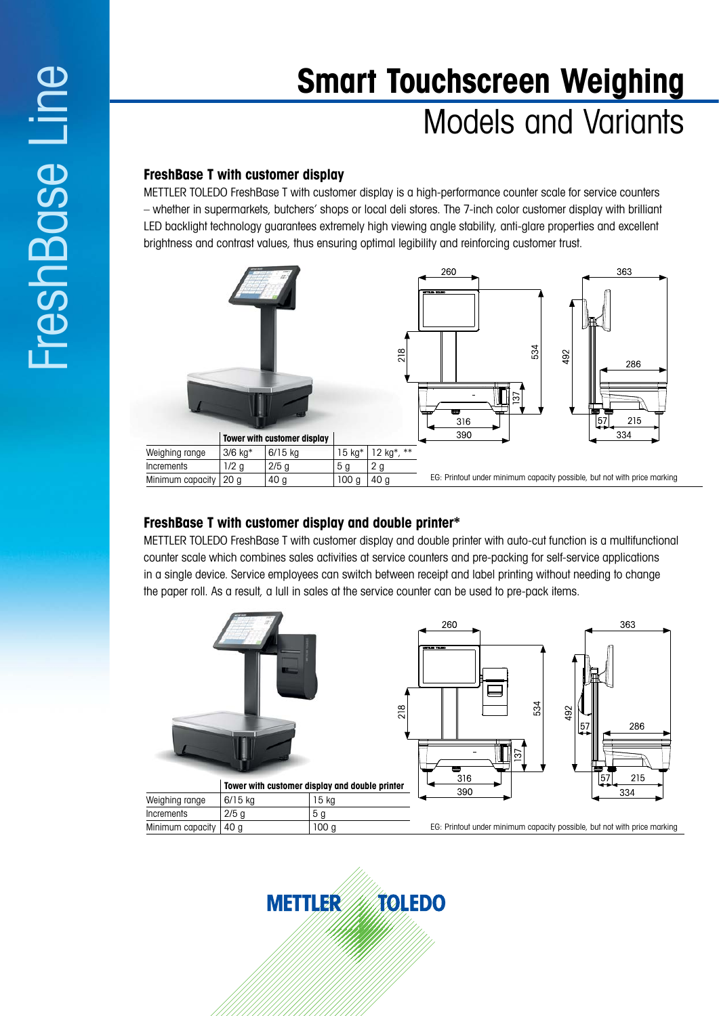# **Smart Touchscreen Weighing** Models and Variants

# **FreshBase T with customer display**

METTLER TOLEDO FreshBase T with customer display is a high-performance counter scale for service counters – whether in supermarkets, butchers' shops or local deli stores. The 7-inch color customer display with brilliant LED backlight technology guarantees extremely high viewing angle stability, anti-glare properties and excellent brightness and contrast values, thus ensuring optimal legibility and reinforcing customer trust.



## **FreshBase T with customer display and double printer\***

METTLER TOLEDO FreshBase T with customer display and double printer with auto-cut function is a multifunctional counter scale which combines sales activities at service counters and pre-packing for self-service applications in a single device. Service employees can switch between receipt and label printing without needing to change the paper roll. As a result, a lull in sales at the service counter can be used to pre-pack items.